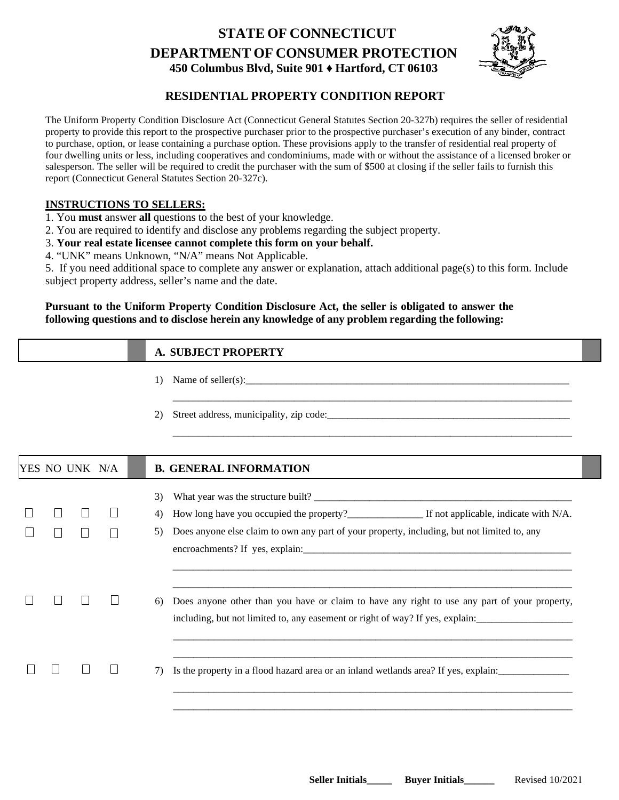# **STATE OF CONNECTICUT DEPARTMENT OF CONSUMER PROTECTION 450 Columbus Blvd, Suite 901 ♦ Hartford, CT 06103**



# **RESIDENTIAL PROPERTY CONDITION REPORT**

The Uniform Property Condition Disclosure Act (Connecticut General Statutes Section 20-327b) requires the seller of residential property to provide this report to the prospective purchaser prior to the prospective purchaser's execution of any binder, contract to purchase, option, or lease containing a purchase option. These provisions apply to the transfer of residential real property of four dwelling units or less, including cooperatives and condominiums, made with or without the assistance of a licensed broker or salesperson. The seller will be required to credit the purchaser with the sum of \$500 at closing if the seller fails to furnish this report (Connecticut General Statutes Section 20-327c).

# **INSTRUCTIONS TO SELLERS:**

- 1. You **must** answer **all** questions to the best of your knowledge.
- 2. You are required to identify and disclose any problems regarding the subject property.
- 3. **Your real estate licensee cannot complete this form on your behalf.**
- 4. "UNK" means Unknown, "N/A" means Not Applicable.

5. If you need additional space to complete any answer or explanation, attach additional page(s) to this form. Include subject property address, seller's name and the date.

## **Pursuant to the Uniform Property Condition Disclosure Act, the seller is obligated to answer the following questions and to disclose herein any knowledge of any problem regarding the following:**

# **A. SUBJECT PROPERTY**

- 1) Name of seller(s):  $\frac{1}{2}$   $\frac{1}{2}$
- 2) Street address, municipality, zip code:\_\_\_\_\_\_\_\_\_\_\_\_\_\_\_\_\_\_\_\_\_\_\_\_\_\_\_\_\_\_\_\_\_\_\_\_\_\_\_\_\_\_\_\_\_\_\_\_

|  |                | <b>B. GENERAL INFORMATION</b>                                                                                                                                                 |
|--|----------------|-------------------------------------------------------------------------------------------------------------------------------------------------------------------------------|
|  | 3)             |                                                                                                                                                                               |
|  | 4)             | How long have you occupied the property?<br>If not applicable, indicate with N/A.                                                                                             |
|  | 5)             | Does anyone else claim to own any part of your property, including, but not limited to, any                                                                                   |
|  | 6)             | Does anyone other than you have or claim to have any right to use any part of your property,<br>including, but not limited to, any easement or right of way? If yes, explain: |
|  | 7)             | Is the property in a flood hazard area or an inland wetlands area? If yes, explain:                                                                                           |
|  | YES NO UNK N/A |                                                                                                                                                                               |

\_\_\_\_\_\_\_\_\_\_\_\_\_\_\_\_\_\_\_\_\_\_\_\_\_\_\_\_\_\_\_\_\_\_\_\_\_\_\_\_\_\_\_\_\_\_\_\_\_\_\_\_\_\_\_\_\_\_\_\_\_\_\_\_\_\_\_\_\_\_\_\_\_\_\_\_\_\_\_

\_\_\_\_\_\_\_\_\_\_\_\_\_\_\_\_\_\_\_\_\_\_\_\_\_\_\_\_\_\_\_\_\_\_\_\_\_\_\_\_\_\_\_\_\_\_\_\_\_\_\_\_\_\_\_\_\_\_\_\_\_\_\_\_\_\_\_\_\_\_\_\_\_\_\_\_\_\_\_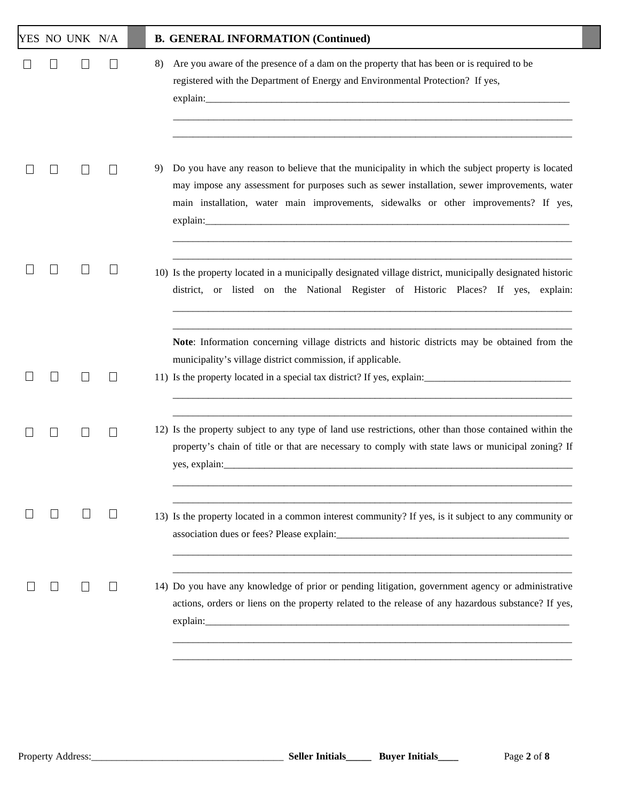|  | YES NO UNK N/A           |                 | <b>B. GENERAL INFORMATION (Continued)</b>                                                                                                                                                                                                                                                      |
|--|--------------------------|-----------------|------------------------------------------------------------------------------------------------------------------------------------------------------------------------------------------------------------------------------------------------------------------------------------------------|
|  |                          |                 | Are you aware of the presence of a dam on the property that has been or is required to be<br>8)<br>registered with the Department of Energy and Environmental Protection? If yes,                                                                                                              |
|  |                          |                 | Do you have any reason to believe that the municipality in which the subject property is located<br>9)<br>may impose any assessment for purposes such as sewer installation, sewer improvements, water<br>main installation, water main improvements, sidewalks or other improvements? If yes, |
|  |                          |                 | 10) Is the property located in a municipally designated village district, municipally designated historic<br>district, or listed on the National Register of Historic Places? If yes, explain:                                                                                                 |
|  | $\overline{\phantom{a}}$ | $\vert \ \vert$ | Note: Information concerning village districts and historic districts may be obtained from the<br>municipality's village district commission, if applicable.<br>11) Is the property located in a special tax district? If yes, explain:                                                        |
|  |                          |                 | 12) Is the property subject to any type of land use restrictions, other than those contained within the<br>property's chain of title or that are necessary to comply with state laws or municipal zoning? If                                                                                   |
|  |                          |                 | 13) Is the property located in a common interest community? If yes, is it subject to any community or<br>association dues or fees? Please explain: explain:                                                                                                                                    |
|  |                          |                 | 14) Do you have any knowledge of prior or pending litigation, government agency or administrative<br>actions, orders or liens on the property related to the release of any hazardous substance? If yes,                                                                                       |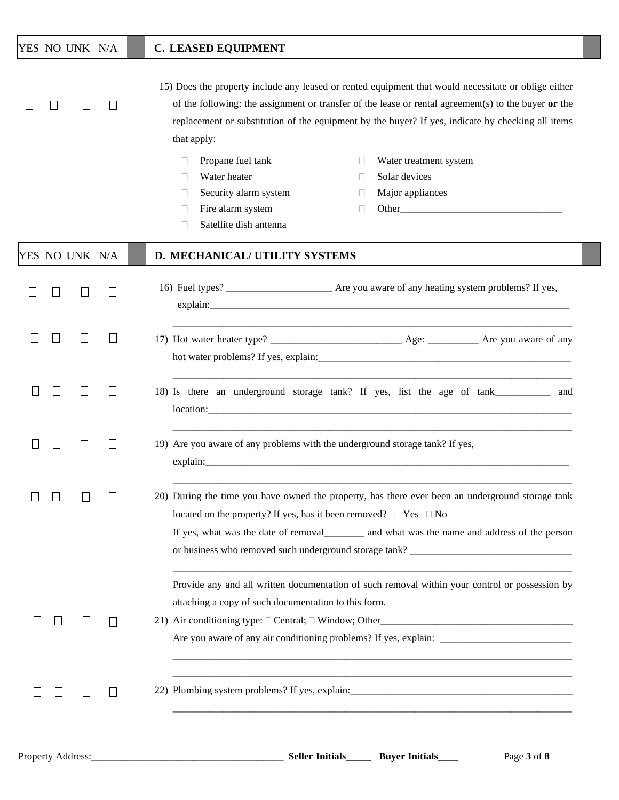## YES NO UNK N/A **C. LEASED EQUIPMENT**

15) Does the property include any leased or rented equipment that would necessitate or oblige either of the following: the assignment or transfer of the lease or rental agreement(s) to the buyer **or** the replacement or substitution of the equipment by the buyer? If yes, indicate by checking all items that apply:

- **Propane fuel tank** Water treatment system
- Water heater
- $\Box$  Security alarm system
- Fire alarm system
	- Satellite dish antenna
- Solar devices
	- Major appliances
		- Other\_\_\_\_\_\_\_\_\_\_\_\_\_\_\_\_\_\_\_\_\_\_\_\_\_\_\_\_\_\_\_\_

|  | YES NO UNK N/A           |              | D. MECHANICAL/ UTILITY SYSTEMS                                                                                                                                                                                                                                                                                             |
|--|--------------------------|--------------|----------------------------------------------------------------------------------------------------------------------------------------------------------------------------------------------------------------------------------------------------------------------------------------------------------------------------|
|  |                          | $\Box$       | explain: explain:                                                                                                                                                                                                                                                                                                          |
|  | $\overline{\phantom{0}}$ | $\mathbf{L}$ |                                                                                                                                                                                                                                                                                                                            |
|  | $\mathbf{L}$             |              | 18) Is there an underground storage tank? If yes, list the age of tank___________<br>and<br>location: experience and the contract of the contract of the contract of the contract of the contract of the contract of the contract of the contract of the contract of the contract of the contract of the contract of the c |
|  | $\mathbb{R}^n$           | $\Box$       | 19) Are you aware of any problems with the underground storage tank? If yes,                                                                                                                                                                                                                                               |
|  |                          |              | 20) During the time you have owned the property, has there ever been an underground storage tank<br>located on the property? If yes, has it been removed? $\Box$ Yes $\Box$ No<br>or business who removed such underground storage tank? __________________________                                                        |
|  |                          | $\mathbf{L}$ | Provide any and all written documentation of such removal within your control or possession by<br>attaching a copy of such documentation to this form.                                                                                                                                                                     |
|  |                          |              | 22) Plumbing system problems? If yes, explain:___________________________________                                                                                                                                                                                                                                          |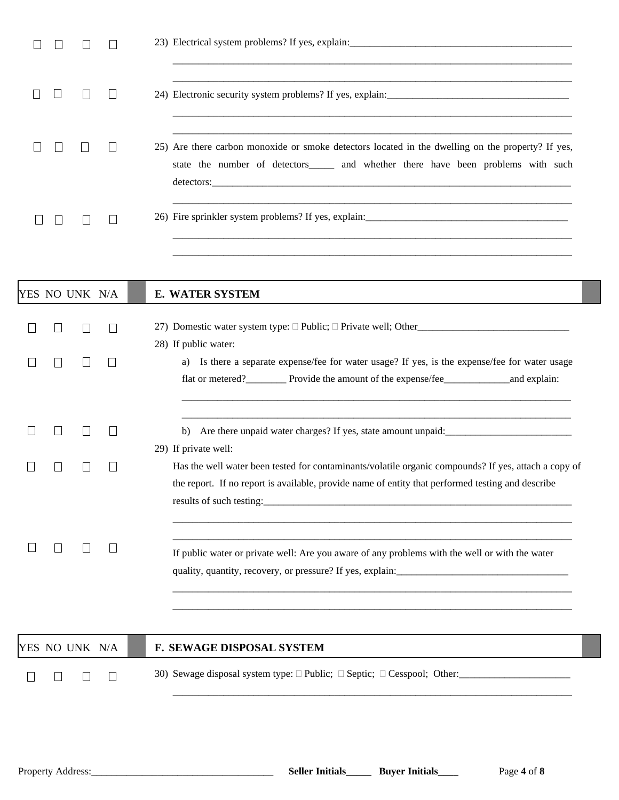|  |  | 25) Are there carbon monoxide or smoke detectors located in the dwelling on the property? If yes,<br>state the number of detectors and whether there have been problems with such<br>detectors: |
|--|--|-------------------------------------------------------------------------------------------------------------------------------------------------------------------------------------------------|
|  |  |                                                                                                                                                                                                 |

|  | YES NO UNK N/A |        | <b>E. WATER SYSTEM</b>                                                                                                                                                                                                            |
|--|----------------|--------|-----------------------------------------------------------------------------------------------------------------------------------------------------------------------------------------------------------------------------------|
|  |                |        | 28) If public water:                                                                                                                                                                                                              |
|  |                |        | a) Is there a separate expense/fee for water usage? If yes, is the expense/fee for water usage                                                                                                                                    |
|  |                |        | Are there unpaid water charges? If yes, state amount unpaid: ____________________<br>b)                                                                                                                                           |
|  |                |        | 29) If private well:<br>Has the well water been tested for contaminants/volatile organic compounds? If yes, attach a copy of<br>the report. If no report is available, provide name of entity that performed testing and describe |
|  |                | $\Box$ | If public water or private well: Are you aware of any problems with the well or with the water                                                                                                                                    |
|  | YES NO UNK N/A |        | F. SEWAGE DISPOSAL SYSTEM                                                                                                                                                                                                         |
|  |                |        |                                                                                                                                                                                                                                   |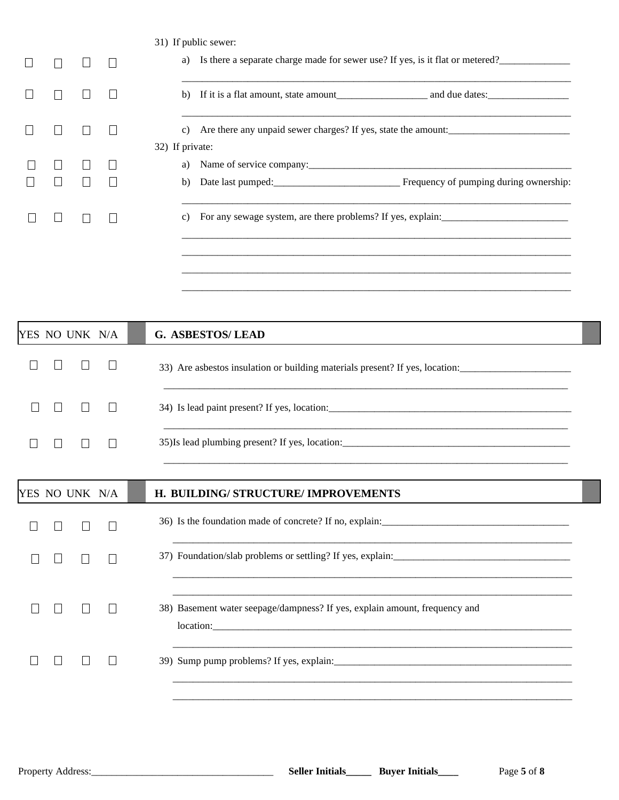|  |  |                       | 31) If public sewer:                                                              |
|--|--|-----------------------|-----------------------------------------------------------------------------------|
|  |  |                       | a) Is there a separate charge made for sewer use? If yes, is it flat or metered?  |
|  |  | b)                    |                                                                                   |
|  |  | C)<br>32) If private: |                                                                                   |
|  |  | a)                    |                                                                                   |
|  |  |                       |                                                                                   |
|  |  | C)                    | For any sewage system, are there problems? If yes, explain: _____________________ |
|  |  |                       |                                                                                   |

|  | YES NO UNK N/A | <b>G. ASBESTOS/LEAD</b>                                                      |  |  |  |  |  |  |  |  |
|--|----------------|------------------------------------------------------------------------------|--|--|--|--|--|--|--|--|
|  |                | 33) Are asbestos insulation or building materials present? If yes, location: |  |  |  |  |  |  |  |  |
|  |                |                                                                              |  |  |  |  |  |  |  |  |
|  |                |                                                                              |  |  |  |  |  |  |  |  |
|  |                |                                                                              |  |  |  |  |  |  |  |  |
|  | YES NO UNK N/A | H. BUILDING/ STRUCTURE/ IMPROVEMENTS                                         |  |  |  |  |  |  |  |  |
|  |                |                                                                              |  |  |  |  |  |  |  |  |
|  |                |                                                                              |  |  |  |  |  |  |  |  |
|  |                | 38) Basement water seepage/dampness? If yes, explain amount, frequency and   |  |  |  |  |  |  |  |  |
|  |                |                                                                              |  |  |  |  |  |  |  |  |
|  |                |                                                                              |  |  |  |  |  |  |  |  |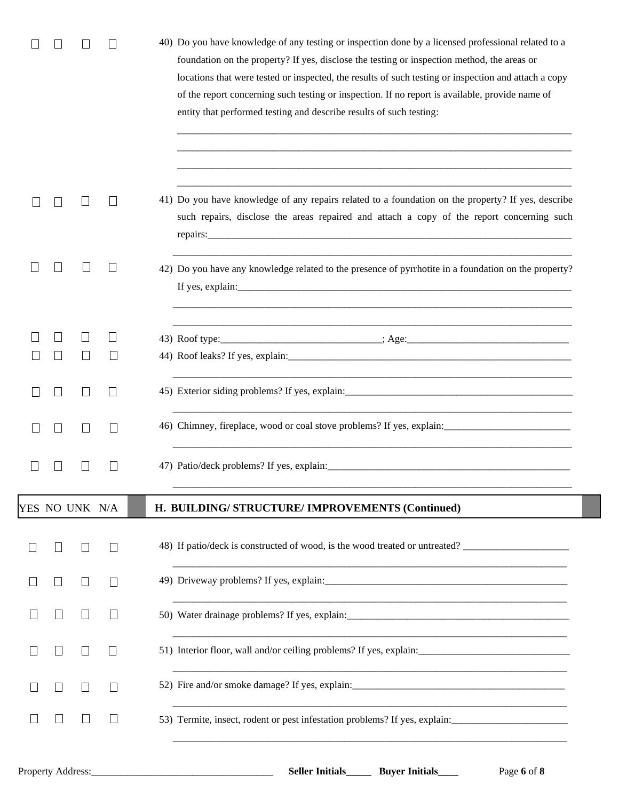|              |                |                   | 40) Do you have knowledge of any testing or inspection done by a licensed professional related to a<br>foundation on the property? If yes, disclose the testing or inspection method, the areas or<br>locations that were tested or inspected, the results of such testing or inspection and attach a copy<br>of the report concerning such testing or inspection. If no report is available, provide name of<br>entity that performed testing and describe results of such testing: |
|--------------|----------------|-------------------|--------------------------------------------------------------------------------------------------------------------------------------------------------------------------------------------------------------------------------------------------------------------------------------------------------------------------------------------------------------------------------------------------------------------------------------------------------------------------------------|
|              |                | $\Box$            | 41) Do you have knowledge of any repairs related to a foundation on the property? If yes, describe<br>such repairs, disclose the areas repaired and attach a copy of the report concerning such                                                                                                                                                                                                                                                                                      |
|              |                | $\mathbf{I}$      | 42) Do you have any knowledge related to the presence of pyrrhotite in a foundation on the property?<br>If yes, explain: $\frac{1}{2}$ explain:                                                                                                                                                                                                                                                                                                                                      |
|              |                | $\perp$           |                                                                                                                                                                                                                                                                                                                                                                                                                                                                                      |
|              |                |                   | 43) Roof type: _______________________________; Age:____________________________                                                                                                                                                                                                                                                                                                                                                                                                     |
|              |                |                   |                                                                                                                                                                                                                                                                                                                                                                                                                                                                                      |
|              |                | $\perp$           |                                                                                                                                                                                                                                                                                                                                                                                                                                                                                      |
|              |                |                   | 46) Chimney, fireplace, wood or coal stove problems? If yes, explain:                                                                                                                                                                                                                                                                                                                                                                                                                |
|              |                |                   |                                                                                                                                                                                                                                                                                                                                                                                                                                                                                      |
|              | YES NO UNK N/A |                   | H. BUILDING/STRUCTURE/IMPROVEMENTS (Continued)                                                                                                                                                                                                                                                                                                                                                                                                                                       |
|              |                | $\Box$            | 48) If patio/deck is constructed of wood, is the wood treated or untreated?                                                                                                                                                                                                                                                                                                                                                                                                          |
| $\mathsf{L}$ |                | $\mathbf{L}$      |                                                                                                                                                                                                                                                                                                                                                                                                                                                                                      |
|              |                |                   |                                                                                                                                                                                                                                                                                                                                                                                                                                                                                      |
|              |                | $\perp$           |                                                                                                                                                                                                                                                                                                                                                                                                                                                                                      |
| $\Box$       | $\mathbf{L}$   | $\vert \ \ \vert$ | 52) Fire and/or smoke damage? If yes, explain: __________________________________                                                                                                                                                                                                                                                                                                                                                                                                    |
|              |                |                   | 53) Termite, insect, rodent or pest infestation problems? If yes, explain:                                                                                                                                                                                                                                                                                                                                                                                                           |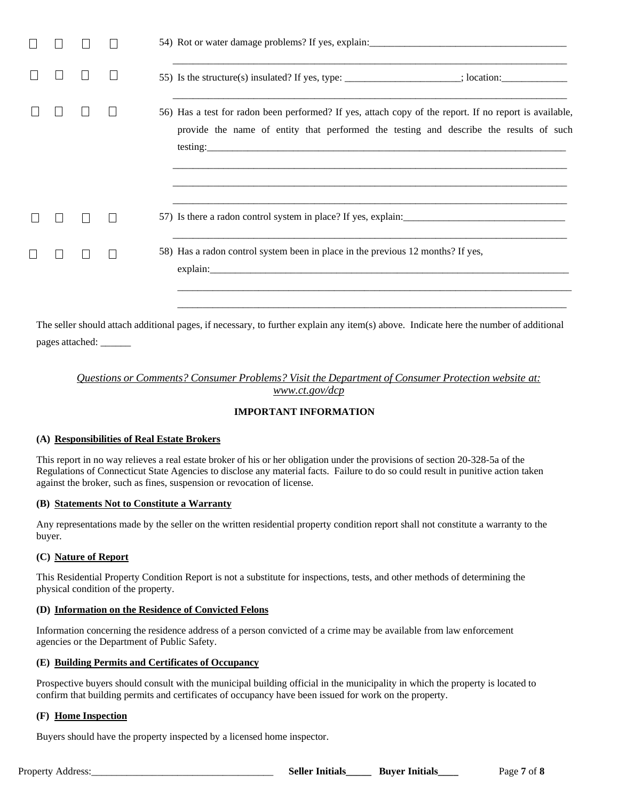|  |  | 55) Is the structure(s) insulated? If yes, type: _______________________; location: ________________                                                                                             |
|--|--|--------------------------------------------------------------------------------------------------------------------------------------------------------------------------------------------------|
|  |  | 56) Has a test for radon been performed? If yes, attach copy of the report. If no report is available,<br>provide the name of entity that performed the testing and describe the results of such |
|  |  |                                                                                                                                                                                                  |
|  |  | 58) Has a radon control system been in place in the previous 12 months? If yes,                                                                                                                  |

The seller should attach additional pages, if necessary, to further explain any item(s) above. Indicate here the number of additional pages attached: \_\_\_\_\_\_

## *Questions or Comments? Consumer Problems? Visit the Department of Consumer Protection website at: www.ct.gov/dcp*

## **IMPORTANT INFORMATION**

## **(A) Responsibilities of Real Estate Brokers**

This report in no way relieves a real estate broker of his or her obligation under the provisions of section 20-328-5a of the Regulations of Connecticut State Agencies to disclose any material facts. Failure to do so could result in punitive action taken against the broker, such as fines, suspension or revocation of license.

#### **(B) Statements Not to Constitute a Warranty**

Any representations made by the seller on the written residential property condition report shall not constitute a warranty to the buyer.

#### **(C) Nature of Report**

This Residential Property Condition Report is not a substitute for inspections, tests, and other methods of determining the physical condition of the property.

#### **(D) Information on the Residence of Convicted Felons**

Information concerning the residence address of a person convicted of a crime may be available from law enforcement agencies or the Department of Public Safety.

#### **(E) Building Permits and Certificates of Occupancy**

Prospective buyers should consult with the municipal building official in the municipality in which the property is located to confirm that building permits and certificates of occupancy have been issued for work on the property.

## **(F) Home Inspection**

Buyers should have the property inspected by a licensed home inspector.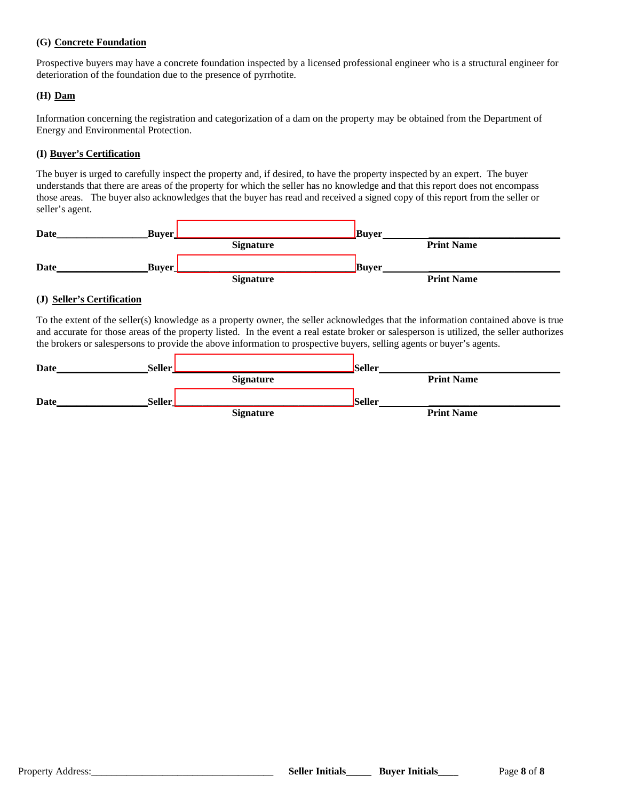## **(G) Concrete Foundation**

Prospective buyers may have a concrete foundation inspected by a licensed professional engineer who is a structural engineer for deterioration of the foundation due to the presence of pyrrhotite.

### **(H) Dam**

Information concerning the registration and categorization of a dam on the property may be obtained from the Department of Energy and Environmental Protection.

## **(I) Buyer's Certification**

The buyer is urged to carefully inspect the property and, if desired, to have the property inspected by an expert. The buyer understands that there are areas of the property for which the seller has no knowledge and that this report does not encompass those areas. The buyer also acknowledges that the buyer has read and received a signed copy of this report from the seller or seller's agent.

| Date | <b>Buver</b> |                  | <b>Buver</b> |                   |  |
|------|--------------|------------------|--------------|-------------------|--|
|      |              | <b>Signature</b> |              | <b>Print Name</b> |  |
| Date | <b>Buver</b> |                  | <b>Buver</b> |                   |  |
|      |              | <b>Signature</b> |              | <b>Print Name</b> |  |

## **(J) Seller's Certification**

To the extent of the seller(s) knowledge as a property owner, the seller acknowledges that the information contained above is true and accurate for those areas of the property listed. In the event a real estate broker or salesperson is utilized, the seller authorizes the brokers or salespersons to provide the above information to prospective buyers, selling agents or buyer's agents.

| Date        | <b>Seller</b> |                  | <b>Seller</b> |                   |  |
|-------------|---------------|------------------|---------------|-------------------|--|
|             |               | <b>Signature</b> |               | <b>Print Name</b> |  |
| <b>Date</b> | Seller        |                  | <b>Seller</b> |                   |  |
|             |               | <b>Signature</b> |               | <b>Print Name</b> |  |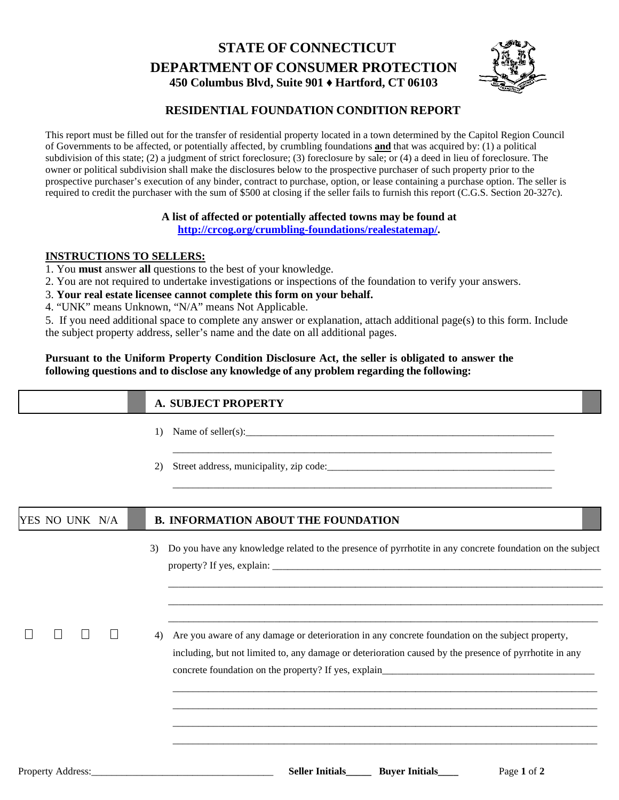# **STATE OF CONNECTICUT DEPARTMENT OF CONSUMER PROTECTION 450 Columbus Blvd, Suite 901 ♦ Hartford, CT 06103**



# **RESIDENTIAL FOUNDATION CONDITION REPORT**

This report must be filled out for the transfer of residential property located in a town determined by the Capitol Region Council of Governments to be affected, or potentially affected, by crumbling foundations **and** that was acquired by: (1) a political subdivision of this state; (2) a judgment of strict foreclosure; (3) foreclosure by sale; or (4) a deed in lieu of foreclosure. The owner or political subdivision shall make the disclosures below to the prospective purchaser of such property prior to the prospective purchaser's execution of any binder, contract to purchase, option, or lease containing a purchase option. The seller is required to credit the purchaser with the sum of \$500 at closing if the seller fails to furnish this report (C.G.S. Section 20-327c).

# **A list of affected or potentially affected towns may be found at [http://crcog.org/crumbling-foundations/realestatemap/.](http://crcog.org/crumbling-foundations/realestatemap/)**

# **INSTRUCTIONS TO SELLERS:**

- 1. You **must** answer **all** questions to the best of your knowledge.
- 2. You are not required to undertake investigations or inspections of the foundation to verify your answers.
- 3. **Your real estate licensee cannot complete this form on your behalf.**
- 4. "UNK" means Unknown, "N/A" means Not Applicable.

5. If you need additional space to complete any answer or explanation, attach additional page(s) to this form. Include the subject property address, seller's name and the date on all additional pages.

# **Pursuant to the Uniform Property Condition Disclosure Act, the seller is obligated to answer the following questions and to disclose any knowledge of any problem regarding the following:**

|                | <b>A. SUBJECT PROPERTY</b>                                                                                                                                                                                       |
|----------------|------------------------------------------------------------------------------------------------------------------------------------------------------------------------------------------------------------------|
|                | 1)                                                                                                                                                                                                               |
|                | and the state of the state of the state of the state of the state of the state of the state of the state of the<br>2)                                                                                            |
| YES NO UNK N/A | <b>B. INFORMATION ABOUT THE FOUNDATION</b>                                                                                                                                                                       |
|                | Do you have any knowledge related to the presence of pyrrhotite in any concrete foundation on the subject<br>3)                                                                                                  |
|                | Are you aware of any damage or deterioration in any concrete foundation on the subject property,<br>4)<br>including, but not limited to, any damage or deterioration caused by the presence of pyrrhotite in any |
|                |                                                                                                                                                                                                                  |